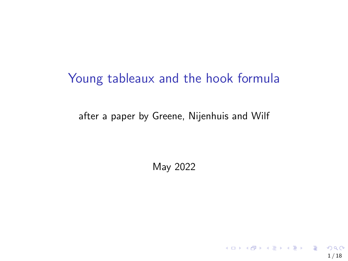### Young tableaux and the hook formula

after a paper by Greene, Nijenhuis and Wilf

May 2022

メロメメ 倒す メミメメ ミメーミー  $QQ$ 1 / 18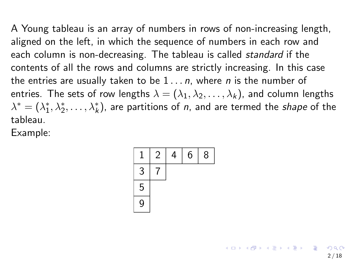A Young tableau is an array of numbers in rows of non-increasing length, aligned on the left, in which the sequence of numbers in each row and each column is non-decreasing. The tableau is called *standard* if the contents of all the rows and columns are strictly increasing. In this case the entries are usually taken to be  $1 \ldots n$ , where *n* is the number of entries. The sets of row lengths  $\lambda = (\lambda_1, \lambda_2, \dots, \lambda_k)$ , and column lengths  $\lambda^*=(\lambda_1^*,\lambda_2^*,\ldots,\lambda_k^*)$ , are partitions of  $\textit{n}$ , and are termed the *shape* of the tableau.

Example:

|   | $\overline{2}$ | 4 | 6 | 8 |
|---|----------------|---|---|---|
| 3 |                |   |   |   |
| 5 |                |   |   |   |
| 9 |                |   |   |   |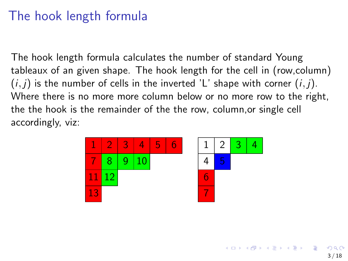## The hook length formula

The hook length formula calculates the number of standard Young tableaux of an given shape. The hook length for the cell in (row,column)  $(i, j)$  is the number of cells in the inverted 'L' shape with corner  $(i, j)$ . Where there is no more more column below or no more row to the right, the the hook is the remainder of the the row, column,or single cell accordingly, viz:

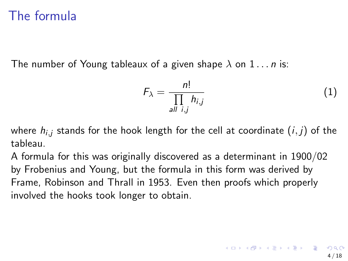### The formula

The number of Young tableaux of a given shape  $\lambda$  on  $1 \ldots n$  is:

<span id="page-3-0"></span>
$$
F_{\lambda} = \frac{n!}{\prod_{\substack{all \ i,j}} h_{i,j}} \tag{1}
$$

where  $h_{i,j}$  stands for the hook length for the cell at coordinate  $(i,j)$  of the tableau.

A formula for this was originally discovered as a determinant in 1900/02 by Frobenius and Young, but the formula in this form was derived by Frame, Robinson and Thrall in 1953. Even then proofs which properly involved the hooks took longer to obtain.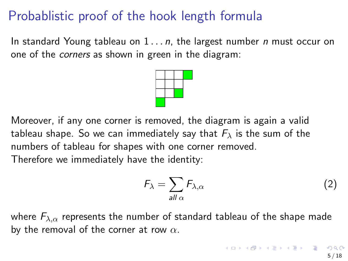# Probablistic proof of the hook length formula

In standard Young tableau on  $1 \ldots n$ , the largest number n must occur on one of the corners as shown in green in the diagram:



Moreover, if any one corner is removed, the diagram is again a valid tableau shape. So we can immediately say that  $F_{\lambda}$  is the sum of the numbers of tableau for shapes with one corner removed.

Therefore we immediately have the identity:

<span id="page-4-0"></span>
$$
F_{\lambda} = \sum_{\text{all } \alpha} F_{\lambda, \alpha} \tag{2}
$$

メロトメ 御 トメ 差 トメ 差 トー 差

5 / 18

where  $F_{\lambda,\alpha}$  represents the number of standard tableau of the shape made by the removal of the corner at row  $\alpha$ .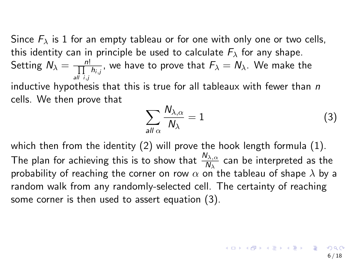Since  $F_{\lambda}$  is 1 for an empty tableau or for one with only one or two cells, this identity can in principle be used to calculate  $F_{\lambda}$  for any shape. Setting  $\mathcal{N}_\lambda=\frac{n!}{\prod h_{i,j}}$ , we have to prove that  $F_\lambda=\mathcal{N}_\lambda.$  We make the all i,j

inductive hypothesis that this is true for all tableaux with fewer than  $n$ cells. We then prove that

<span id="page-5-0"></span>
$$
\sum_{\text{all }\alpha} \frac{N_{\lambda,\alpha}}{N_{\lambda}} = 1 \tag{3}
$$

which then from the identity [\(2\)](#page-4-0) will prove the hook length formula [\(1\)](#page-3-0). The plan for achieving this is to show that  $\frac{N_{\lambda,\alpha}}{N_{\lambda}}$  can be interpreted as the probability of reaching the corner on row  $\alpha$  on the tableau of shape  $\lambda$  by a random walk from any randomly-selected cell. The certainty of reaching some corner is then used to assert equation [\(3\)](#page-5-0).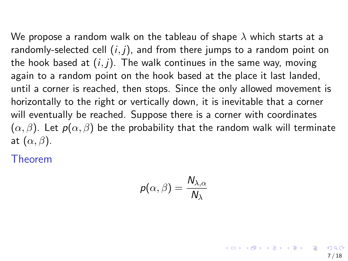We propose a random walk on the tableau of shape  $\lambda$  which starts at a randomly-selected cell  $(i, j)$ , and from there jumps to a random point on the hook based at  $(i, j)$ . The walk continues in the same way, moving again to a random point on the hook based at the place it last landed, until a corner is reached, then stops. Since the only allowed movement is horizontally to the right or vertically down, it is inevitable that a corner will eventually be reached. Suppose there is a corner with coordinates  $(\alpha, \beta)$ . Let  $p(\alpha, \beta)$  be the probability that the random walk will terminate at  $(\alpha, \beta)$ .

Theorem

$$
p(\alpha,\beta)=\frac{N_{\lambda,\alpha}}{N_{\lambda}}
$$

7 / 18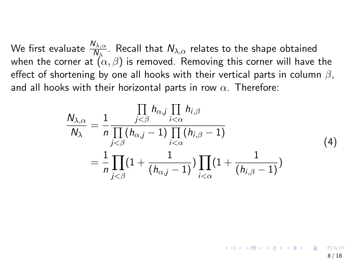We first evaluate  $\frac{N_{\lambda,\alpha}}{N_{\lambda}}$ . Recall that  $N_{\lambda,\alpha}$  relates to the shape obtained when the corner at  $(\alpha, \beta)$  is removed. Removing this corner will have the effect of shortening by one all hooks with their vertical parts in column  $\beta$ , and all hooks with their horizontal parts in row  $\alpha$ . Therefore:

<span id="page-7-0"></span>
$$
\frac{N_{\lambda,\alpha}}{N_{\lambda}} = \frac{1}{n} \frac{\prod\limits_{j<\beta} h_{\alpha,j} \prod\limits_{i<\alpha} h_{i,\beta}}{\prod\limits_{j<\beta} (h_{\alpha,j}-1) \prod\limits_{i<\alpha} (h_{i,\beta}-1)} = \frac{1}{n} \prod\limits_{j<\beta} (1 + \frac{1}{(h_{\alpha,j}-1)}) \prod\limits_{i<\alpha} (1 + \frac{1}{(h_{i,\beta}-1)}) \tag{4}
$$

8 / 18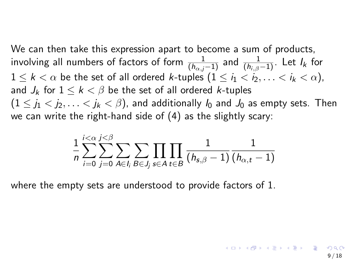We can then take this expression apart to become a sum of products, involving all numbers of factors of form  $\frac{1}{(h_{\alpha,j}-1)}$  and  $\frac{1}{(h_{i,\beta}-1)}$ . Let  $I_k$  for  $1 \leq k < \alpha$  be the set of all ordered k-tuples  $(1 \leq i_1 < i_2, \ldots < i_k < \alpha)$ , and  $J_k$  for  $1 \leq k < \beta$  be the set of all ordered k-tuples  $(1 \leq j_1 < j_2, \ldots < j_k < \beta)$ , and additionally  $l_0$  and  $J_0$  as empty sets. Then we can write the right-hand side of [\(4\)](#page-7-0) as the slightly scary:

$$
\frac{1}{n}\sum_{i=0}^{i<\alpha}\sum_{j=0}^{j<\beta}\sum_{A\in I_i}\sum_{B\in J_j}\prod_{s\in A}\prod_{t\in B}\frac{1}{(h_{s,\beta}-1)}\frac{1}{(h_{\alpha,t}-1)}
$$

where the empty sets are understood to provide factors of 1.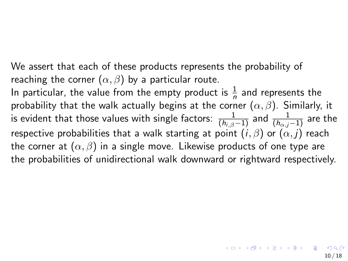We assert that each of these products represents the probability of reaching the corner  $(\alpha, \beta)$  by a particular route.

In particular, the value from the empty product is  $\frac{1}{n}$  and represents the probability that the walk actually begins at the corner  $(\alpha, \beta)$ . Similarly, it is evident that those values with single factors:  $\frac{1}{(h_{i,\beta}-1)}$  and  $\frac{1}{(h_{\alpha,j}-1)}$  are the respective probabilities that a walk starting at point  $(i, \beta)$  or  $(\alpha, j)$  reach the corner at  $(\alpha, \beta)$  in a single move. Likewise products of one type are the probabilities of unidirectional walk downward or rightward respectively.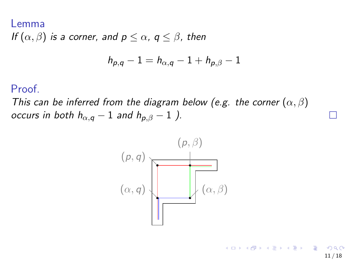Lemma If  $(\alpha, \beta)$  is a corner, and  $p \leq \alpha$ ,  $q \leq \beta$ , then

$$
h_{p,q}-1=h_{\alpha,q}-1+h_{p,\beta}-1
$$

#### Proof.

This can be inferred from the diagram below (e.g. the corner  $(\alpha, \beta)$ ) occurs in both  $h_{\alpha,q}$  – 1 and  $h_{p,\beta}$  – 1 ).

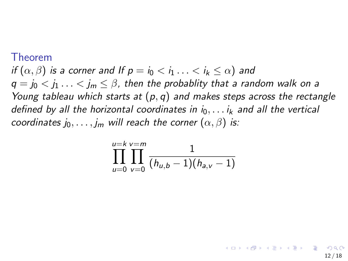#### Theorem

if  $(\alpha, \beta)$  is a corner and If  $p = i_0 < i_1 \ldots < i_k \leq \alpha$ ) and  $q = j_0 < j_1 \ldots < j_m \leq \beta$ , then the probablity that a random walk on a Young tableau which starts at  $(p, q)$  and makes steps across the rectangle defined by all the horizontal coordinates in  $i_0, \ldots i_k$  and all the vertical coordinates  $j_0, \ldots, j_m$  will reach the corner  $(\alpha, \beta)$  is:

$$
\prod_{u=0}^{u=k}\prod_{\nu=0}^{v=m}\frac{1}{(h_{u,b}-1)(h_{a,\nu}-1)}
$$

12 / 18

メロトメ 御 トメ 差 トメ 差 トー 差し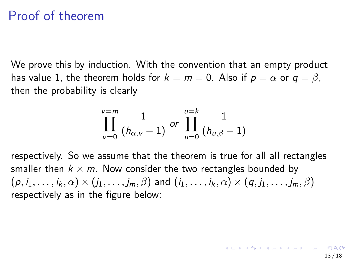## Proof of theorem

We prove this by induction. With the convention that an empty product has value 1, the theorem holds for  $k = m = 0$ . Also if  $p = \alpha$  or  $q = \beta$ . then the probability is clearly

$$
\prod_{\nu=0}^{\nu=m}\frac{1}{(h_{\alpha,\nu}-1)}\,\, \text{or}\,\,\prod_{u=0}^{u=k}\frac{1}{(h_{u,\beta}-1)}\,\,
$$

respectively. So we assume that the theorem is true for all all rectangles smaller then  $k \times m$ . Now consider the two rectangles bounded by  $(p, i_1, \ldots, i_k, \alpha) \times (j_1, \ldots, j_m, \beta)$  and  $(i_1, \ldots, i_k, \alpha) \times (q, j_1, \ldots, j_m, \beta)$ respectively as in the figure below: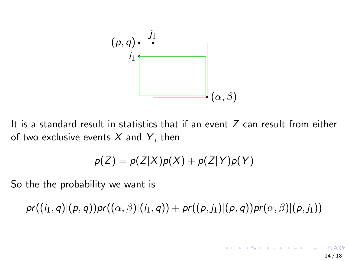

It is a standard result in statistics that if an event  $Z$  can result from either of two exclusive events  $X$  and  $Y$ , then

$$
p(Z) = p(Z|X)p(X) + p(Z|Y)p(Y)
$$

So the the probability we want is

 $pr((i_1, q)|(p, q))pr((\alpha, \beta)|(i_1, q)) + pr((p, j_1)|(p, q))pr(\alpha, \beta)|(p, j_1))$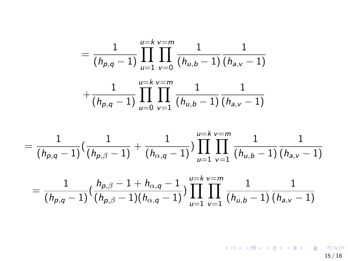$$
= \frac{1}{(h_{p,q}-1)} \prod_{u=1}^{u=k} \prod_{v=0}^{v=m} \frac{1}{(h_{u,b}-1)} \frac{1}{(h_{a,v}-1)} + \frac{1}{(h_{p,q}-1)} \prod_{u=0}^{u=k} \prod_{v=1}^{v=m} \frac{1}{(h_{u,b}-1)} \frac{1}{(h_{a,v}-1)}
$$

$$
=\frac{1}{(h_{p,q}-1)}(\frac{1}{(h_{p,\beta}-1)}+\frac{1}{(h_{\alpha,q}-1)})\prod_{u=1}^{u=k}\prod_{v=1}^{v=m}\frac{1}{(h_{u,b}-1)}\frac{1}{(h_{a,v}-1)}
$$

$$
=\frac{1}{(h_{\rho,q}-1)}(\frac{h_{\rho,\beta}-1+h_{\alpha,q}-1}{(h_{\rho,\beta}-1)(h_{\alpha,q}-1)})\prod_{u=1}^{u=k}\prod_{v=1}^{v=m}\frac{1}{(h_{u,b}-1)}\frac{1}{(h_{a,v}-1)}
$$

KO K K @ K K Z K K Z K K K K K K K K K K 15 / 18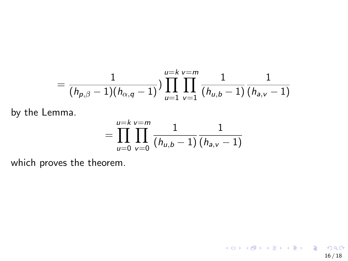$$
= \frac{1}{(h_{\rho,\beta}-1)(h_{\alpha,q}-1)}) \prod_{u=1}^{u=k} \prod_{\nu=1}^{v=m} \frac{1}{(h_{u,b}-1)} \frac{1}{(h_{a,\nu}-1)}
$$

by the Lemma.

$$
= \prod_{u=0}^{u=k} \prod_{v=0}^{v=m} \frac{1}{(h_{u,b}-1)} \frac{1}{(h_{a,v}-1)}
$$

which proves the theorem.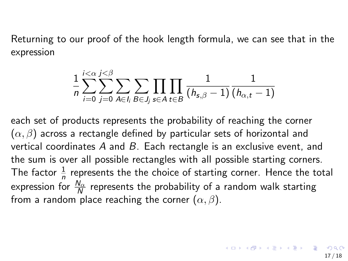Returning to our proof of the hook length formula, we can see that in the expression

$$
\frac{1}{n}\sum_{i=0}^{i<\alpha}\sum_{j=0}^{j<\beta}\sum_{A\in I_i}\sum_{B\in J_j}\prod_{s\in A}\prod_{t\in B}\frac{1}{(h_{s,\beta}-1)}\frac{1}{(h_{\alpha,t}-1)}
$$

each set of products represents the probability of reaching the corner  $(\alpha, \beta)$  across a rectangle defined by particular sets of horizontal and vertical coordinates  $A$  and  $B$ . Each rectangle is an exclusive event, and the sum is over all possible rectangles with all possible starting corners. The factor  $\frac{1}{n}$  represents the the choice of starting corner. Hence the total expression for  $\frac{N_\alpha}{N}$  represents the probability of a random walk starting from a random place reaching the corner  $(\alpha, \beta)$ .